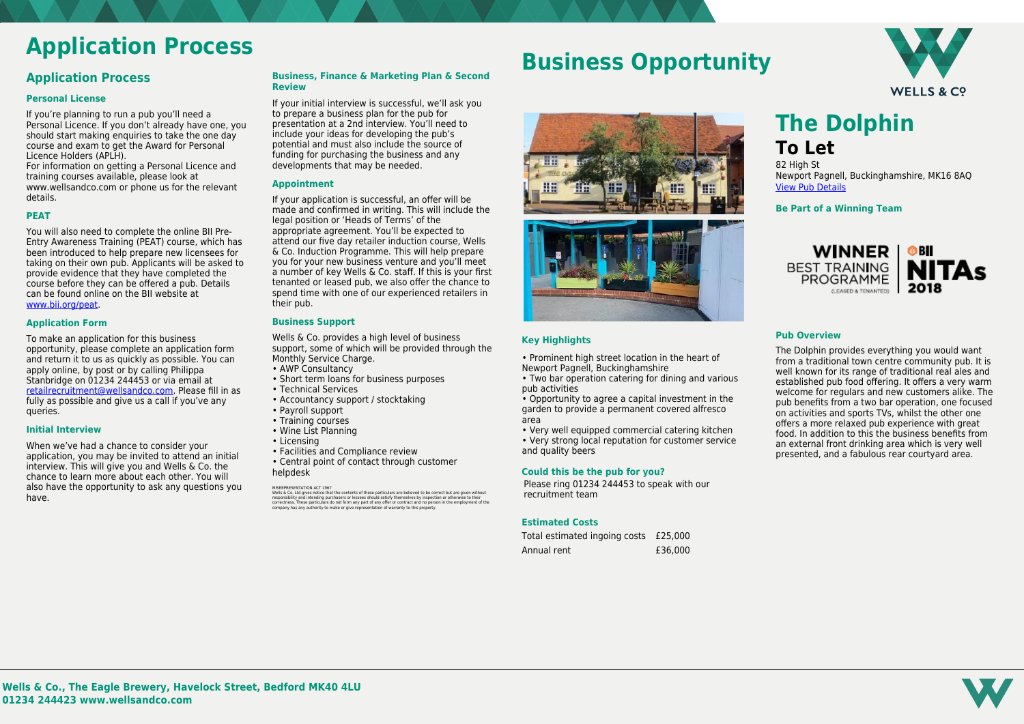

# **Application Process**

### **Application Process**

### **Personal License**

If you're planning to run a pub you'll need a Personal Licence. If you don't already have one, you should start making enquiries to take the one day course and exam to get the Award for Personal Licence Holders (APLH).

For information on getting a Personal Licence and training courses available, please look at www.wellsandco.com or phone us for the relevant details.

### **PEAT**

You will also need to complete the online BII Pre-Entry Awareness Training (PEAT) course, which has been introduced to help prepare new licensees for taking on their own pub. Applicants will be asked to provide evidence that they have completed the course before they can be offered a pub. Details can be found online on the BII website at [www.bii.org/peat.](https://www.bii.org/peat)

### **Application Form**

To make an application for this business opportunity, please complete an application form and return it to us as quickly as possible. You can apply online, by post or by calling Philippa Stanbridge on 01234 244453 or via email at [retailrecruitment@wellsandco.com](mailto:retailrecruitment@wellsandco.com). Please fill in as fully as possible and give us a call if you've any queries.

#### **Initial Interview**

Wells & Co. provides a high level of business support, some of which will be provided through the Monthly Service Charge.

When we've had a chance to consider your application, you may be invited to attend an initial interview. This will give you and Wells & Co. the chance to learn more about each other. You will also have the opportunity to ask any questions you have.

MISREPRESENTATION ACT 1967 Wells & Co. Ltd gives notice that the contents of these particulars are believed to be correct but are given without responsibility and intending purchasers or lessees should satisfy themselves by inspection or otherwise to their<br>correctness. These particulars do not form any part of any offer or contract and no person in the employment

### **Business, Finance & Marketing Plan & Second Review**

If your initial interview is successful, we'll ask you to prepare a business plan for the pub for presentation at a 2nd interview. You'll need to include your ideas for developing the pub's potential and must also include the source of funding for purchasing the business and any developments that may be needed.

### **Appointment**

82 High St Newport Pagnell, Buckinghamshire, MK16 8AQ [View Pub Details](https://www.wellsandco.com/pubs/67/the-dolphin)

If your application is successful, an offer will be made and confirmed in writing. This will include the legal position or 'Heads of Terms' of the appropriate agreement. You'll be expected to attend our five day retailer induction course, Wells & Co. Induction Programme. This will help prepare you for your new business venture and you'll meet a number of key Wells & Co. staff. If this is your first tenanted or leased pub, we also offer the chance to spend time with one of our experienced retailers in their pub.

### **Business Support**

- AWP Consultancy
- Short term loans for business purposes
- Technical Services
- Accountancy support / stocktaking
- Payroll support
- Training courses
- Wine List Planning
- Licensing
- Facilities and Compliance review
- Central point of contact through customer helpdesk

# **Business Opportunity**



### **Key Highlights**

• Prominent high street location in the heart of Newport Pagnell, Buckinghamshire

- Two bar operation catering for dining and various pub activities
- Opportunity to agree a capital investment in the garden to provide a permanent covered alfresco area
- Very well equipped commercial catering kitchen

• Very strong local reputation for customer service and quality beers

### **Could this be the pub for you?**

Please ring 01234 244453 to speak with our recruitment team

### **Estimated Costs**

| Total estimated ingoing costs £25,000 |         |
|---------------------------------------|---------|
| Annual rent                           | £36,000 |

**The Dolphin To Let**

**Be Part of a Winning Team**



### **Pub Overview**

The Dolphin provides everything you would want from a traditional town centre community pub. It is well known for its range of traditional real ales and established pub food offering. It offers a very warm welcome for regulars and new customers alike. The pub benefits from a two bar operation, one focused on activities and sports TVs, whilst the other one offers a more relaxed pub experience with great food. In addition to this the business benefits from an external front drinking area which is very well presented, and a fabulous rear courtyard area.